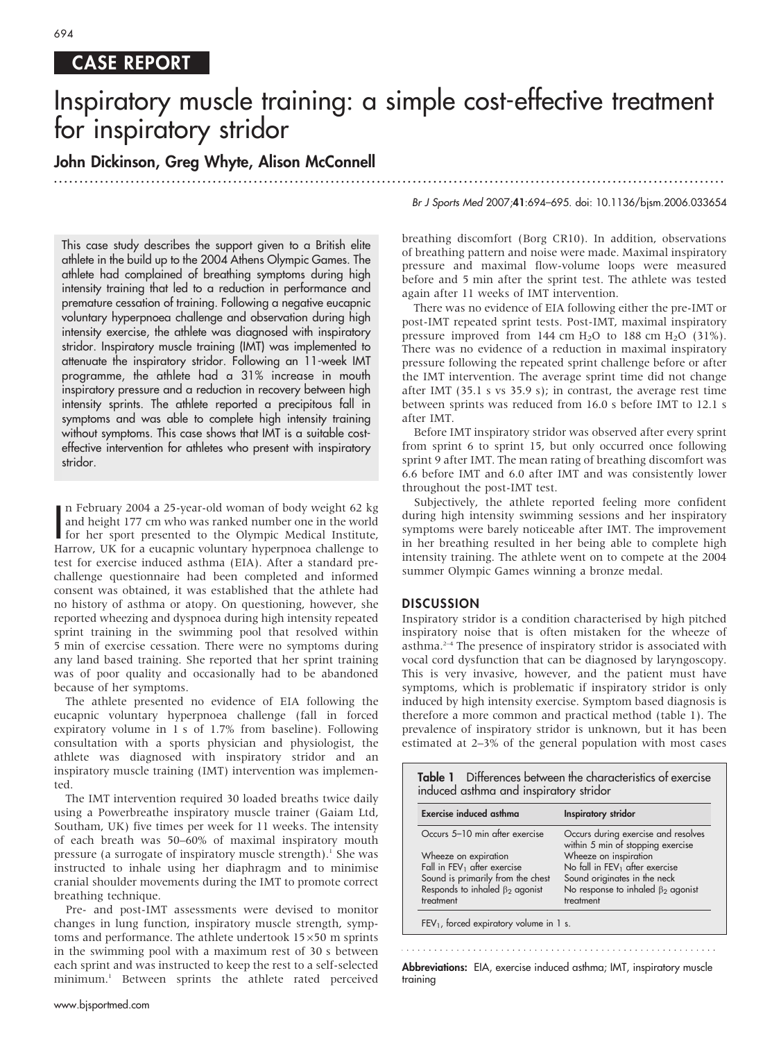#### 694

# CASE REPORT

# Inspiratory muscle training: a simple cost-effective treatment for inspiratory stridor

............................................................... ............................................................... .....

## John Dickinson, Greg Whyte, Alison McConnell

This case study describes the support given to a British elite athlete in the build up to the 2004 Athens Olympic Games. The athlete had complained of breathing symptoms during high intensity training that led to a reduction in performance and premature cessation of training. Following a negative eucapnic voluntary hyperpnoea challenge and observation during high intensity exercise, the athlete was diagnosed with inspiratory stridor. Inspiratory muscle training (IMT) was implemented to attenuate the inspiratory stridor. Following an 11-week IMT programme, the athlete had a 31% increase in mouth inspiratory pressure and a reduction in recovery between high intensity sprints. The athlete reported a precipitous fall in symptoms and was able to complete high intensity training without symptoms. This case shows that IMT is a suitable costeffective intervention for athletes who present with inspiratory stridor.

In February 2004 a 25-year-old woman of body weight 62 kg<br>and height 177 cm who was ranked number one in the world<br>for her sport presented to the Olympic Medical Institute,<br>Harrow, UK for a eucapnic voluntary hyperpnoea ch n February 2004 a 25-year-old woman of body weight 62 kg and height 177 cm who was ranked number one in the world for her sport presented to the Olympic Medical Institute, test for exercise induced asthma (EIA). After a standard prechallenge questionnaire had been completed and informed consent was obtained, it was established that the athlete had no history of asthma or atopy. On questioning, however, she reported wheezing and dyspnoea during high intensity repeated sprint training in the swimming pool that resolved within 5 min of exercise cessation. There were no symptoms during any land based training. She reported that her sprint training was of poor quality and occasionally had to be abandoned because of her symptoms.

The athlete presented no evidence of EIA following the eucapnic voluntary hyperpnoea challenge (fall in forced expiratory volume in 1 s of 1.7% from baseline). Following consultation with a sports physician and physiologist, the athlete was diagnosed with inspiratory stridor and an inspiratory muscle training (IMT) intervention was implemented.

The IMT intervention required 30 loaded breaths twice daily using a Powerbreathe inspiratory muscle trainer (Gaiam Ltd, Southam, UK) five times per week for 11 weeks. The intensity of each breath was 50–60% of maximal inspiratory mouth pressure (a surrogate of inspiratory muscle strength).<sup>1</sup> She was instructed to inhale using her diaphragm and to minimise cranial shoulder movements during the IMT to promote correct breathing technique.

Pre- and post-IMT assessments were devised to monitor changes in lung function, inspiratory muscle strength, symptoms and performance. The athlete undertook  $15\times50$  m sprints in the swimming pool with a maximum rest of 30 s between each sprint and was instructed to keep the rest to a self-selected minimum.<sup>1</sup> Between sprints the athlete rated perceived Br J Sports Med 2007;41:694–695. doi: 10.1136/bjsm.2006.033654

breathing discomfort (Borg CR10). In addition, observations of breathing pattern and noise were made. Maximal inspiratory pressure and maximal flow-volume loops were measured before and 5 min after the sprint test. The athlete was tested again after 11 weeks of IMT intervention.

There was no evidence of EIA following either the pre-IMT or post-IMT repeated sprint tests. Post-IMT, maximal inspiratory pressure improved from  $144$  cm  $H<sub>2</sub>O$  to  $188$  cm  $H<sub>2</sub>O$  (31%). There was no evidence of a reduction in maximal inspiratory pressure following the repeated sprint challenge before or after the IMT intervention. The average sprint time did not change after IMT (35.1 s vs 35.9 s); in contrast, the average rest time between sprints was reduced from 16.0 s before IMT to 12.1 s after IMT.

Before IMT inspiratory stridor was observed after every sprint from sprint 6 to sprint 15, but only occurred once following sprint 9 after IMT. The mean rating of breathing discomfort was 6.6 before IMT and 6.0 after IMT and was consistently lower throughout the post-IMT test.

Subjectively, the athlete reported feeling more confident during high intensity swimming sessions and her inspiratory symptoms were barely noticeable after IMT. The improvement in her breathing resulted in her being able to complete high intensity training. The athlete went on to compete at the 2004 summer Olympic Games winning a bronze medal.

#### **DISCUSSION**

Inspiratory stridor is a condition characterised by high pitched inspiratory noise that is often mistaken for the wheeze of asthma.2–4 The presence of inspiratory stridor is associated with vocal cord dysfunction that can be diagnosed by laryngoscopy. This is very invasive, however, and the patient must have symptoms, which is problematic if inspiratory stridor is only induced by high intensity exercise. Symptom based diagnosis is therefore a more common and practical method (table 1). The prevalence of inspiratory stridor is unknown, but it has been estimated at 2–3% of the general population with most cases

| <b>Table 1</b> Differences between the characteristics of exercise<br>induced asthma and inspiratory stridor |                                                                          |
|--------------------------------------------------------------------------------------------------------------|--------------------------------------------------------------------------|
| <b>Exercise induced asthma</b>                                                                               | Inspiratory stridor                                                      |
| Occurs 5-10 min after exercise                                                                               | Occurs during exercise and resolves<br>within 5 min of stopping exercise |
| Wheeze on expiration                                                                                         | Wheeze on inspiration                                                    |
| Fall in FEV <sub>1</sub> after exercise                                                                      | No fall in FEV <sub>1</sub> after exercise                               |
| Sound is primarily from the chest                                                                            | Sound originates in the neck                                             |
| Responds to inhaled $\beta_2$ agonist                                                                        | No response to inhaled $\beta_2$ agonist                                 |
| treatment                                                                                                    | treatment                                                                |
| $FEV1$ , forced expiratory volume in 1 s.                                                                    |                                                                          |

Abbreviations: EIA, exercise induced asthma; IMT, inspiratory muscle training